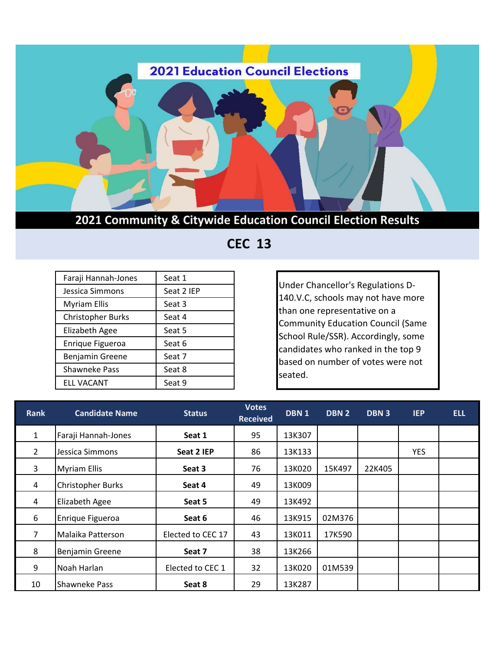

**2021 Community & Citywide Education Council Election Results**

 **CEC 13**

| Faraji Hannah-Jones      | Seat 1     |  |  |
|--------------------------|------------|--|--|
| Jessica Simmons          | Seat 2 IEP |  |  |
| <b>Myriam Ellis</b>      | Seat 3     |  |  |
| <b>Christopher Burks</b> | Seat 4     |  |  |
| <b>Elizabeth Agee</b>    | Seat 5     |  |  |
| Enrique Figueroa         | Seat 6     |  |  |
| Benjamin Greene          | Seat 7     |  |  |
| Shawneke Pass            | Seat 8     |  |  |
| <b>ELL VACANT</b>        | Seat 9     |  |  |

Under Chancellor's Regulations D-140.V.C, schools may not have more than one representative on a Community Education Council (Same School Rule/SSR). Accordingly, some candidates who ranked in the top 9 based on number of votes were not seated.

| <b>Rank</b>    | <b>Candidate Name</b> | <b>Status</b>     | <b>Votes</b><br><b>Received</b> | DBN <sub>1</sub> | DBN 2  | DBN <sub>3</sub> | <b>IEP</b> | <b>ELL</b> |
|----------------|-----------------------|-------------------|---------------------------------|------------------|--------|------------------|------------|------------|
| 1              | Faraji Hannah-Jones   | Seat 1            | 95                              | 13K307           |        |                  |            |            |
| $\overline{2}$ | Jessica Simmons       | Seat 2 IEP        | 86                              | 13K133           |        |                  | <b>YES</b> |            |
| 3              | <b>Myriam Ellis</b>   | Seat 3            | 76                              | 13K020           | 15K497 | 22K405           |            |            |
| 4              | Christopher Burks     | Seat 4            | 49                              | 13K009           |        |                  |            |            |
| 4              | Elizabeth Agee        | Seat 5            | 49                              | 13K492           |        |                  |            |            |
| 6              | Enrique Figueroa      | Seat 6            | 46                              | 13K915           | 02M376 |                  |            |            |
| $\overline{7}$ | Malaika Patterson     | Elected to CEC 17 | 43                              | 13K011           | 17K590 |                  |            |            |
| 8              | Benjamin Greene       | Seat 7            | 38                              | 13K266           |        |                  |            |            |
| 9              | Noah Harlan           | Elected to CEC 1  | 32                              | 13K020           | 01M539 |                  |            |            |
| 10             | <b>Shawneke Pass</b>  | Seat 8            | 29                              | 13K287           |        |                  |            |            |